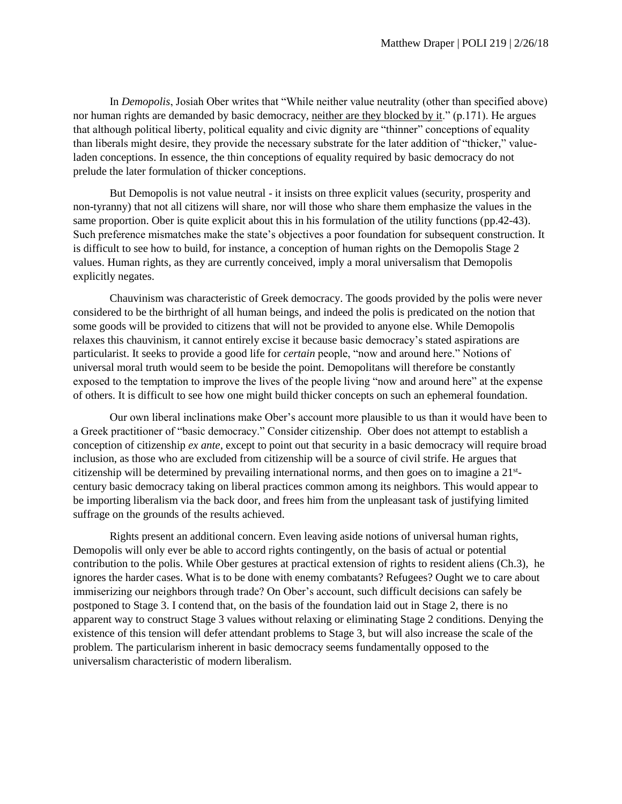In *Demopolis*, Josiah Ober writes that "While neither value neutrality (other than specified above) nor human rights are demanded by basic democracy, neither are they blocked by it." (p.171). He argues that although political liberty, political equality and civic dignity are "thinner" conceptions of equality than liberals might desire, they provide the necessary substrate for the later addition of "thicker," valueladen conceptions. In essence, the thin conceptions of equality required by basic democracy do not prelude the later formulation of thicker conceptions.

But Demopolis is not value neutral - it insists on three explicit values (security, prosperity and non-tyranny) that not all citizens will share, nor will those who share them emphasize the values in the same proportion. Ober is quite explicit about this in his formulation of the utility functions (pp.42-43). Such preference mismatches make the state's objectives a poor foundation for subsequent construction. It is difficult to see how to build, for instance, a conception of human rights on the Demopolis Stage 2 values. Human rights, as they are currently conceived, imply a moral universalism that Demopolis explicitly negates.

Chauvinism was characteristic of Greek democracy. The goods provided by the polis were never considered to be the birthright of all human beings, and indeed the polis is predicated on the notion that some goods will be provided to citizens that will not be provided to anyone else. While Demopolis relaxes this chauvinism, it cannot entirely excise it because basic democracy's stated aspirations are particularist. It seeks to provide a good life for *certain* people, "now and around here." Notions of universal moral truth would seem to be beside the point. Demopolitans will therefore be constantly exposed to the temptation to improve the lives of the people living "now and around here" at the expense of others. It is difficult to see how one might build thicker concepts on such an ephemeral foundation.

Our own liberal inclinations make Ober's account more plausible to us than it would have been to a Greek practitioner of "basic democracy." Consider citizenship. Ober does not attempt to establish a conception of citizenship *ex ante*, except to point out that security in a basic democracy will require broad inclusion, as those who are excluded from citizenship will be a source of civil strife. He argues that citizenship will be determined by prevailing international norms, and then goes on to imagine a 21<sup>st</sup>century basic democracy taking on liberal practices common among its neighbors. This would appear to be importing liberalism via the back door, and frees him from the unpleasant task of justifying limited suffrage on the grounds of the results achieved.

Rights present an additional concern. Even leaving aside notions of universal human rights, Demopolis will only ever be able to accord rights contingently, on the basis of actual or potential contribution to the polis. While Ober gestures at practical extension of rights to resident aliens (Ch.3), he ignores the harder cases. What is to be done with enemy combatants? Refugees? Ought we to care about immiserizing our neighbors through trade? On Ober's account, such difficult decisions can safely be postponed to Stage 3. I contend that, on the basis of the foundation laid out in Stage 2, there is no apparent way to construct Stage 3 values without relaxing or eliminating Stage 2 conditions. Denying the existence of this tension will defer attendant problems to Stage 3, but will also increase the scale of the problem. The particularism inherent in basic democracy seems fundamentally opposed to the universalism characteristic of modern liberalism.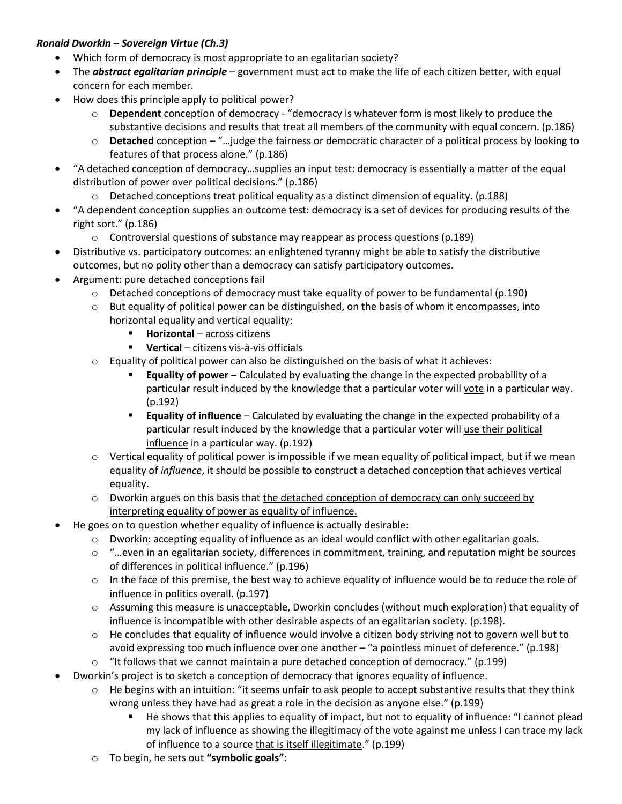### *Ronald Dworkin – Sovereign Virtue (Ch.3)*

- Which form of democracy is most appropriate to an egalitarian society?
- The *abstract egalitarian principle* government must act to make the life of each citizen better, with equal concern for each member.
- How does this principle apply to political power?
	- o **Dependent** conception of democracy "democracy is whatever form is most likely to produce the substantive decisions and results that treat all members of the community with equal concern. (p.186)
	- o **Detached** conception "…judge the fairness or democratic character of a political process by looking to features of that process alone." (p.186)
- "A detached conception of democracy…supplies an input test: democracy is essentially a matter of the equal distribution of power over political decisions." (p.186)
	- $\circ$  Detached conceptions treat political equality as a distinct dimension of equality. (p.188)
- "A dependent conception supplies an outcome test: democracy is a set of devices for producing results of the right sort." (p.186)
	- $\circ$  Controversial questions of substance may reappear as process questions (p.189)
- Distributive vs. participatory outcomes: an enlightened tyranny might be able to satisfy the distributive outcomes, but no polity other than a democracy can satisfy participatory outcomes.
- Argument: pure detached conceptions fail
	- $\circ$  Detached conceptions of democracy must take equality of power to be fundamental (p.190)
	- o But equality of political power can be distinguished, on the basis of whom it encompasses, into horizontal equality and vertical equality:
		- **Horizontal** across citizens
		- Vertical citizens vis-à-vis officials
	- $\circ$  Equality of political power can also be distinguished on the basis of what it achieves:
		- **Equality of power** Calculated by evaluating the change in the expected probability of a particular result induced by the knowledge that a particular voter will vote in a particular way. (p.192)
		- **Equality of influence** Calculated by evaluating the change in the expected probability of a particular result induced by the knowledge that a particular voter will use their political influence in a particular way. (p.192)
	- $\circ$  Vertical equality of political power is impossible if we mean equality of political impact, but if we mean equality of *influence*, it should be possible to construct a detached conception that achieves vertical equality.
	- $\circ$  Dworkin argues on this basis that the detached conception of democracy can only succeed by interpreting equality of power as equality of influence.
- He goes on to question whether equality of influence is actually desirable:
	- o Dworkin: accepting equality of influence as an ideal would conflict with other egalitarian goals.
	- $\circ$  "...even in an egalitarian society, differences in commitment, training, and reputation might be sources of differences in political influence." (p.196)
	- $\circ$  In the face of this premise, the best way to achieve equality of influence would be to reduce the role of influence in politics overall. (p.197)
	- o Assuming this measure is unacceptable, Dworkin concludes (without much exploration) that equality of influence is incompatible with other desirable aspects of an egalitarian society. (p.198).
	- o He concludes that equality of influence would involve a citizen body striving not to govern well but to avoid expressing too much influence over one another – "a pointless minuet of deference." (p.198)
	- $\circ$  "It follows that we cannot maintain a pure detached conception of democracy." (p.199)
- Dworkin's project is to sketch a conception of democracy that ignores equality of influence.
	- $\circ$  He begins with an intuition: "it seems unfair to ask people to accept substantive results that they think wrong unless they have had as great a role in the decision as anyone else." (p.199)
		- He shows that this applies to equality of impact, but not to equality of influence: "I cannot plead my lack of influence as showing the illegitimacy of the vote against me unless I can trace my lack of influence to a source that is itself illegitimate." (p.199)
	- o To begin, he sets out **"symbolic goals"**: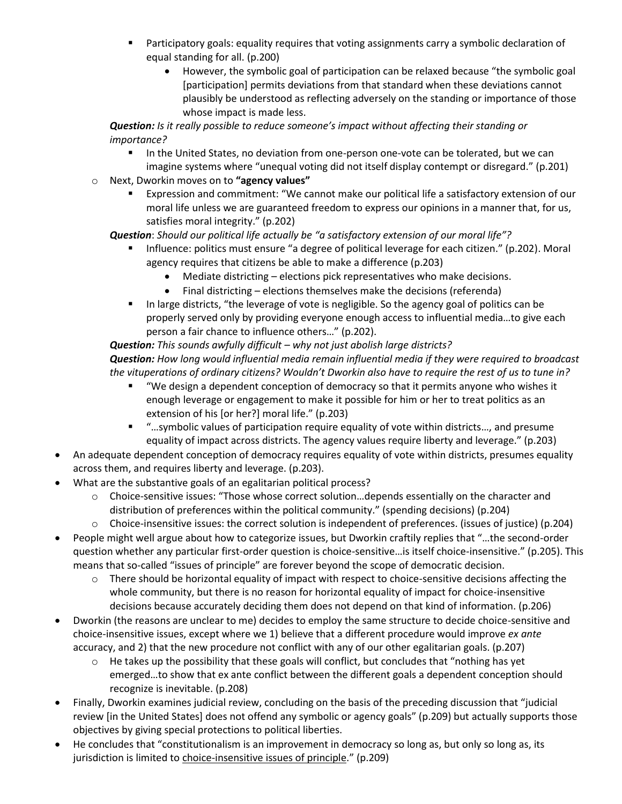- Participatory goals: equality requires that voting assignments carry a symbolic declaration of equal standing for all. (p.200)
	- However, the symbolic goal of participation can be relaxed because "the symbolic goal [participation] permits deviations from that standard when these deviations cannot plausibly be understood as reflecting adversely on the standing or importance of those whose impact is made less.

*Question: Is it really possible to reduce someone's impact without affecting their standing or importance?*

- In the United States, no deviation from one-person one-vote can be tolerated, but we can imagine systems where "unequal voting did not itself display contempt or disregard." (p.201)
- o Next, Dworkin moves on to **"agency values"**
	- Expression and commitment: "We cannot make our political life a satisfactory extension of our moral life unless we are guaranteed freedom to express our opinions in a manner that, for us, satisfies moral integrity." (p.202)

*Question*: *Should our political life actually be "a satisfactory extension of our moral life"?*

- Influence: politics must ensure "a degree of political leverage for each citizen." (p.202). Moral agency requires that citizens be able to make a difference (p.203)
	- Mediate districting elections pick representatives who make decisions.
	- Final districting elections themselves make the decisions (referenda)
- **■** In large districts, "the leverage of vote is negligible. So the agency goal of politics can be properly served only by providing everyone enough access to influential media…to give each person a fair chance to influence others…" (p.202).

# *Question: This sounds awfully difficult – why not just abolish large districts? Question: How long would influential media remain influential media if they were required to broadcast*

- *the vituperations of ordinary citizens? Wouldn't Dworkin also have to require the rest of us to tune in?* ▪ "We design a dependent conception of democracy so that it permits anyone who wishes it enough leverage or engagement to make it possible for him or her to treat politics as an
	- extension of his [or her?] moral life." (p.203)
	- "…symbolic values of participation require equality of vote within districts…, and presume equality of impact across districts. The agency values require liberty and leverage." (p.203)
- An adequate dependent conception of democracy requires equality of vote within districts, presumes equality across them, and requires liberty and leverage. (p.203).
- What are the substantive goals of an egalitarian political process?
	- o Choice-sensitive issues: "Those whose correct solution…depends essentially on the character and distribution of preferences within the political community." (spending decisions) (p.204)
	- o Choice-insensitive issues: the correct solution is independent of preferences. (issues of justice) (p.204)
- People might well argue about how to categorize issues, but Dworkin craftily replies that "…the second-order question whether any particular first-order question is choice-sensitive…is itself choice-insensitive." (p.205). This means that so-called "issues of principle" are forever beyond the scope of democratic decision.
	- o There should be horizontal equality of impact with respect to choice-sensitive decisions affecting the whole community, but there is no reason for horizontal equality of impact for choice-insensitive decisions because accurately deciding them does not depend on that kind of information. (p.206)
- Dworkin (the reasons are unclear to me) decides to employ the same structure to decide choice-sensitive and choice-insensitive issues, except where we 1) believe that a different procedure would improve *ex ante*  accuracy, and 2) that the new procedure not conflict with any of our other egalitarian goals. (p.207)
	- $\circ$  He takes up the possibility that these goals will conflict, but concludes that "nothing has yet emerged…to show that ex ante conflict between the different goals a dependent conception should recognize is inevitable. (p.208)
- Finally, Dworkin examines judicial review, concluding on the basis of the preceding discussion that "judicial review [in the United States] does not offend any symbolic or agency goals" (p.209) but actually supports those objectives by giving special protections to political liberties.
- He concludes that "constitutionalism is an improvement in democracy so long as, but only so long as, its jurisdiction is limited to choice-insensitive issues of principle." (p.209)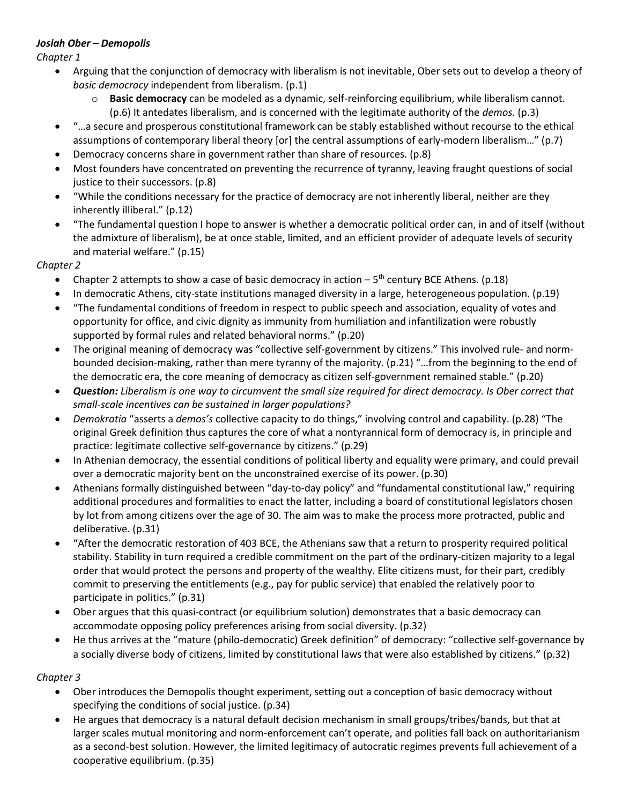### *Josiah Ober – Demopolis*

*Chapter 1*

- Arguing that the conjunction of democracy with liberalism is not inevitable, Ober sets out to develop a theory of *basic democracy* independent from liberalism. (p.1)
	- o **Basic democracy** can be modeled as a dynamic, self-reinforcing equilibrium, while liberalism cannot. (p.6) It antedates liberalism, and is concerned with the legitimate authority of the *demos.* (p.3)
- "…a secure and prosperous constitutional framework can be stably established without recourse to the ethical assumptions of contemporary liberal theory [or] the central assumptions of early-modern liberalism…" (p.7)
- Democracy concerns share in government rather than share of resources. (p.8)
- Most founders have concentrated on preventing the recurrence of tyranny, leaving fraught questions of social justice to their successors. (p.8)
- "While the conditions necessary for the practice of democracy are not inherently liberal, neither are they inherently illiberal." (p.12)
- "The fundamental question I hope to answer is whether a democratic political order can, in and of itself (without the admixture of liberalism), be at once stable, limited, and an efficient provider of adequate levels of security and material welfare." (p.15)

### *Chapter 2*

- Chapter 2 attempts to show a case of basic democracy in action  $-5<sup>th</sup>$  century BCE Athens. (p.18)
- In democratic Athens, city-state institutions managed diversity in a large, heterogeneous population. (p.19)
- "The fundamental conditions of freedom in respect to public speech and association, equality of votes and opportunity for office, and civic dignity as immunity from humiliation and infantilization were robustly supported by formal rules and related behavioral norms." (p.20)
- The original meaning of democracy was "collective self-government by citizens." This involved rule- and normbounded decision-making, rather than mere tyranny of the majority. (p.21) "…from the beginning to the end of the democratic era, the core meaning of democracy as citizen self-government remained stable." (p.20)
- *Question: Liberalism is one way to circumvent the small size required for direct democracy. Is Ober correct that small-scale incentives can be sustained in larger populations?*
- *Demokratia* "asserts a *demos's* collective capacity to do things," involving control and capability. (p.28) "The original Greek definition thus captures the core of what a nontyrannical form of democracy is, in principle and practice: legitimate collective self-governance by citizens." (p.29)
- In Athenian democracy, the essential conditions of political liberty and equality were primary, and could prevail over a democratic majority bent on the unconstrained exercise of its power. (p.30)
- Athenians formally distinguished between "day-to-day policy" and "fundamental constitutional law," requiring additional procedures and formalities to enact the latter, including a board of constitutional legislators chosen by lot from among citizens over the age of 30. The aim was to make the process more protracted, public and deliberative. (p.31)
- "After the democratic restoration of 403 BCE, the Athenians saw that a return to prosperity required political stability. Stability in turn required a credible commitment on the part of the ordinary-citizen majority to a legal order that would protect the persons and property of the wealthy. Elite citizens must, for their part, credibly commit to preserving the entitlements (e.g., pay for public service) that enabled the relatively poor to participate in politics." (p.31)
- Ober argues that this quasi-contract (or equilibrium solution) demonstrates that a basic democracy can accommodate opposing policy preferences arising from social diversity. (p.32)
- He thus arrives at the "mature (philo-democratic) Greek definition" of democracy: "collective self-governance by a socially diverse body of citizens, limited by constitutional laws that were also established by citizens." (p.32)

## *Chapter 3*

- Ober introduces the Demopolis thought experiment, setting out a conception of basic democracy without specifying the conditions of social justice. (p.34)
- He argues that democracy is a natural default decision mechanism in small groups/tribes/bands, but that at larger scales mutual monitoring and norm-enforcement can't operate, and polities fall back on authoritarianism as a second-best solution. However, the limited legitimacy of autocratic regimes prevents full achievement of a cooperative equilibrium. (p.35)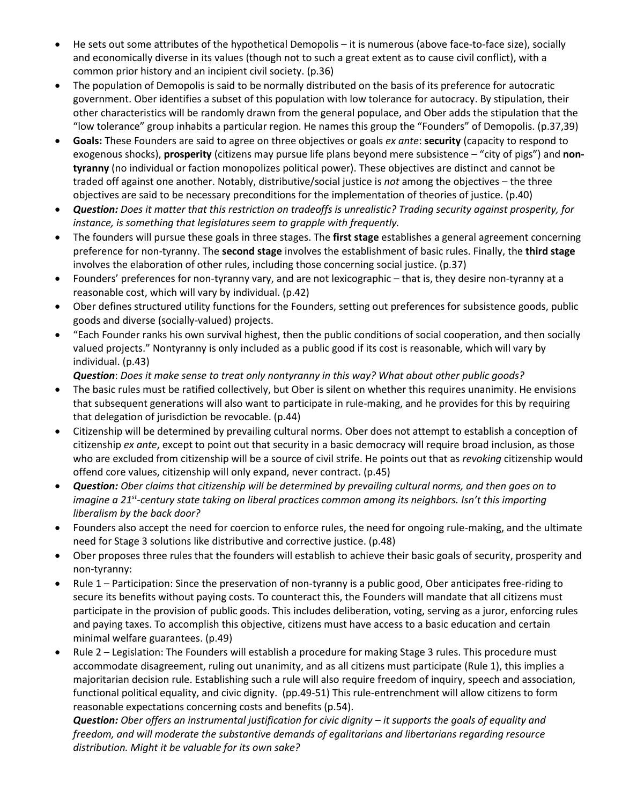- He sets out some attributes of the hypothetical Demopolis it is numerous (above face-to-face size), socially and economically diverse in its values (though not to such a great extent as to cause civil conflict), with a common prior history and an incipient civil society. (p.36)
- The population of Demopolis is said to be normally distributed on the basis of its preference for autocratic government. Ober identifies a subset of this population with low tolerance for autocracy. By stipulation, their other characteristics will be randomly drawn from the general populace, and Ober adds the stipulation that the "low tolerance" group inhabits a particular region. He names this group the "Founders" of Demopolis. (p.37,39)
- **Goals:** These Founders are said to agree on three objectives or goals *ex ante*: **security** (capacity to respond to exogenous shocks), **prosperity** (citizens may pursue life plans beyond mere subsistence – "city of pigs") and **nontyranny** (no individual or faction monopolizes political power). These objectives are distinct and cannot be traded off against one another. Notably, distributive/social justice is *not* among the objectives – the three objectives are said to be necessary preconditions for the implementation of theories of justice. (p.40)
- *Question: Does it matter that this restriction on tradeoffs is unrealistic? Trading security against prosperity, for instance, is something that legislatures seem to grapple with frequently.*
- The founders will pursue these goals in three stages. The **first stage** establishes a general agreement concerning preference for non-tyranny. The **second stage** involves the establishment of basic rules. Finally, the **third stage** involves the elaboration of other rules, including those concerning social justice. (p.37)
- Founders' preferences for non-tyranny vary, and are not lexicographic that is, they desire non-tyranny at a reasonable cost, which will vary by individual. (p.42)
- Ober defines structured utility functions for the Founders, setting out preferences for subsistence goods, public goods and diverse (socially-valued) projects.
- "Each Founder ranks his own survival highest, then the public conditions of social cooperation, and then socially valued projects." Nontyranny is only included as a public good if its cost is reasonable, which will vary by individual. (p.43)

*Question*: *Does it make sense to treat only nontyranny in this way? What about other public goods?*

- The basic rules must be ratified collectively, but Ober is silent on whether this requires unanimity. He envisions that subsequent generations will also want to participate in rule-making, and he provides for this by requiring that delegation of jurisdiction be revocable. (p.44)
- Citizenship will be determined by prevailing cultural norms. Ober does not attempt to establish a conception of citizenship *ex ante*, except to point out that security in a basic democracy will require broad inclusion, as those who are excluded from citizenship will be a source of civil strife. He points out that as *revoking* citizenship would offend core values, citizenship will only expand, never contract. (p.45)
- *Question: Ober claims that citizenship will be determined by prevailing cultural norms, and then goes on to imagine a 21st -century state taking on liberal practices common among its neighbors. Isn't this importing liberalism by the back door?*
- Founders also accept the need for coercion to enforce rules, the need for ongoing rule-making, and the ultimate need for Stage 3 solutions like distributive and corrective justice. (p.48)
- Ober proposes three rules that the founders will establish to achieve their basic goals of security, prosperity and non-tyranny:
- Rule 1 Participation: Since the preservation of non-tyranny is a public good, Ober anticipates free-riding to secure its benefits without paying costs. To counteract this, the Founders will mandate that all citizens must participate in the provision of public goods. This includes deliberation, voting, serving as a juror, enforcing rules and paying taxes. To accomplish this objective, citizens must have access to a basic education and certain minimal welfare guarantees. (p.49)
- Rule 2 Legislation: The Founders will establish a procedure for making Stage 3 rules. This procedure must accommodate disagreement, ruling out unanimity, and as all citizens must participate (Rule 1), this implies a majoritarian decision rule. Establishing such a rule will also require freedom of inquiry, speech and association, functional political equality, and civic dignity. (pp.49-51) This rule-entrenchment will allow citizens to form reasonable expectations concerning costs and benefits (p.54).

*Question: Ober offers an instrumental justification for civic dignity – it supports the goals of equality and freedom, and will moderate the substantive demands of egalitarians and libertarians regarding resource distribution. Might it be valuable for its own sake?*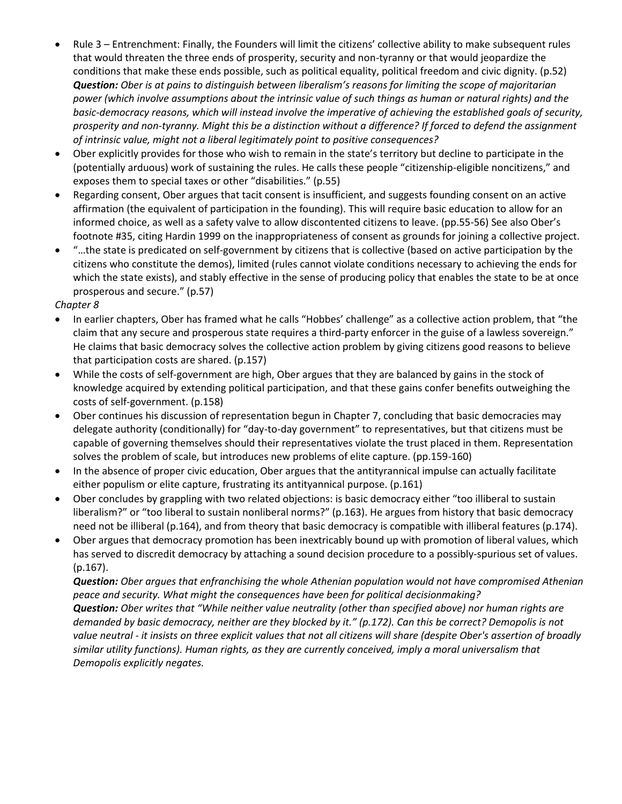- Rule 3 Entrenchment: Finally, the Founders will limit the citizens' collective ability to make subsequent rules that would threaten the three ends of prosperity, security and non-tyranny or that would jeopardize the conditions that make these ends possible, such as political equality, political freedom and civic dignity. (p.52) *Question: Ober is at pains to distinguish between liberalism's reasons for limiting the scope of majoritarian power (which involve assumptions about the intrinsic value of such things as human or natural rights) and the basic-democracy reasons, which will instead involve the imperative of achieving the established goals of security, prosperity and non-tyranny. Might this be a distinction without a difference? If forced to defend the assignment of intrinsic value, might not a liberal legitimately point to positive consequences?*
- Ober explicitly provides for those who wish to remain in the state's territory but decline to participate in the (potentially arduous) work of sustaining the rules. He calls these people "citizenship-eligible noncitizens," and exposes them to special taxes or other "disabilities." (p.55)
- Regarding consent, Ober argues that tacit consent is insufficient, and suggests founding consent on an active affirmation (the equivalent of participation in the founding). This will require basic education to allow for an informed choice, as well as a safety valve to allow discontented citizens to leave. (pp.55-56) See also Ober's footnote #35, citing Hardin 1999 on the inappropriateness of consent as grounds for joining a collective project.
- "…the state is predicated on self-government by citizens that is collective (based on active participation by the citizens who constitute the demos), limited (rules cannot violate conditions necessary to achieving the ends for which the state exists), and stably effective in the sense of producing policy that enables the state to be at once prosperous and secure." (p.57)

*Chapter 8*

- In earlier chapters, Ober has framed what he calls "Hobbes' challenge" as a collective action problem, that "the claim that any secure and prosperous state requires a third-party enforcer in the guise of a lawless sovereign." He claims that basic democracy solves the collective action problem by giving citizens good reasons to believe that participation costs are shared. (p.157)
- While the costs of self-government are high, Ober argues that they are balanced by gains in the stock of knowledge acquired by extending political participation, and that these gains confer benefits outweighing the costs of self-government. (p.158)
- Ober continues his discussion of representation begun in Chapter 7, concluding that basic democracies may delegate authority (conditionally) for "day-to-day government" to representatives, but that citizens must be capable of governing themselves should their representatives violate the trust placed in them. Representation solves the problem of scale, but introduces new problems of elite capture. (pp.159-160)
- In the absence of proper civic education, Ober argues that the antityrannical impulse can actually facilitate either populism or elite capture, frustrating its antityannical purpose. (p.161)
- Ober concludes by grappling with two related objections: is basic democracy either "too illiberal to sustain liberalism?" or "too liberal to sustain nonliberal norms?" (p.163). He argues from history that basic democracy need not be illiberal (p.164), and from theory that basic democracy is compatible with illiberal features (p.174).
- Ober argues that democracy promotion has been inextricably bound up with promotion of liberal values, which has served to discredit democracy by attaching a sound decision procedure to a possibly-spurious set of values. (p.167).

*Question: Ober argues that enfranchising the whole Athenian population would not have compromised Athenian peace and security. What might the consequences have been for political decisionmaking?*

*Question: Ober writes that "While neither value neutrality (other than specified above) nor human rights are demanded by basic democracy, neither are they blocked by it." (p.172). Can this be correct? Demopolis is not value neutral - it insists on three explicit values that not all citizens will share (despite Ober's assertion of broadly similar utility functions). Human rights, as they are currently conceived, imply a moral universalism that Demopolis explicitly negates.*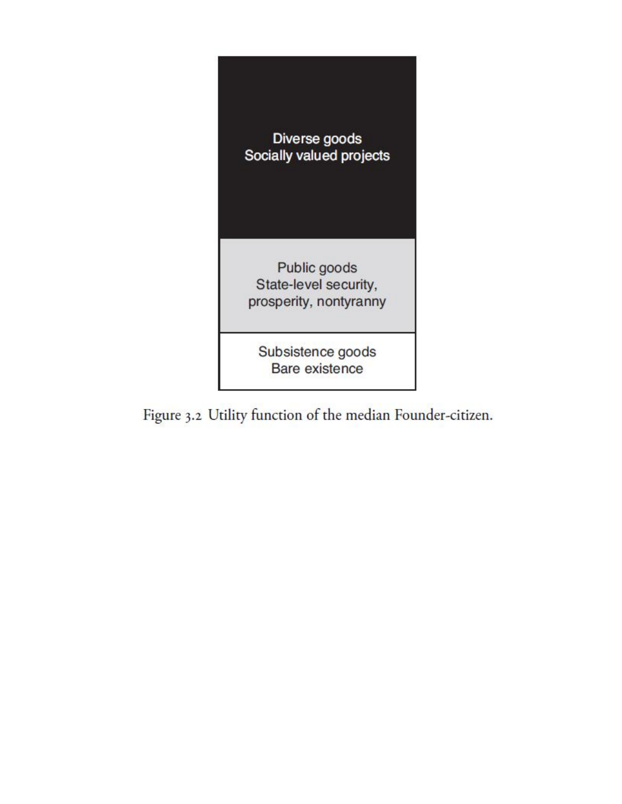

Figure 3.2 Utility function of the median Founder-citizen.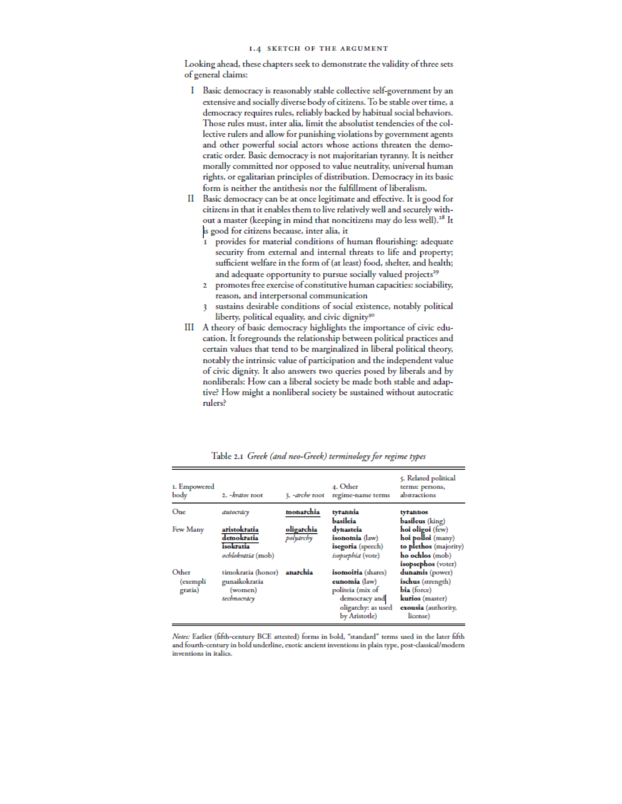#### **1.4 SKETCH OF THE ARGUMENT**

Looking ahead, these chapters seek to demonstrate the validity of three sets of general claims:

- I Basic democracy is reasonably stable collective self-government by an extensive and socially diverse body of citizens. To be stable over time, a democracy requires rules, reliably backed by habitual social behaviors. Those rules must, inter alia, limit the absolutist tendencies of the collective rulers and allow for punishing violations by government agents and other powerful social actors whose actions threaten the democratic order. Basic democracy is not majoritarian tyranny. It is neither morally committed nor opposed to value neutrality, universal human rights, or egalitarian principles of distribution. Democracy in its basic form is neither the antithesis nor the fulfillment of liberalism.
- II Basic democracy can be at once legitimate and effective. It is good for citizens in that it enables them to live relatively well and securely without a master (keeping in mind that noncitizens may do less well).<sup>28</sup> It is good for citizens because, inter alia, it
	- provides for material conditions of human flourishing: adequate security from external and internal threats to life and property; sufficient welfare in the form of (at least) food, shelter, and health; and adequate opportunity to pursue socially valued projects<sup>29</sup>
	- promotes free exercise of constitutive human capacities: sociability,  $\overline{2}$ reason, and interpersonal communication
	- sustains desirable conditions of social existence, notably political 3 liberty, political equality, and civic dignity<sup>30</sup>
- III A theory of basic democracy highlights the importance of civic education. It foregrounds the relationship between political practices and certain values that tend to be marginalized in liberal political theory, notably the intrinsic value of participation and the independent value of civic dignity. It also answers two queries posed by liberals and by nonliberals: How can a liberal society be made both stable and adaptive? How might a nonliberal society be sustained without autocratic rulers?

| I. Empowered<br>body | 2. - knattos root  | 3. - arche toot | 4. Other<br>regime-name terms | 5. Related political<br>terms: persons,<br>abstractions |
|----------------------|--------------------|-----------------|-------------------------------|---------------------------------------------------------|
| One                  | dutocrdcy          | monarchia       | tyrannia<br>basileia          | tyrannos<br>basileus (king)                             |
| Few Many             | aristokratia       | oligarchia      | dynasteia                     | hoi oligoi (few)                                        |
|                      | demokratia         | polyarchy       | isotiomia (law)               | hoi polloi (many)                                       |
|                      | <b>İsokratia</b>   |                 | isegoria (speech)             | to plethos (majority)                                   |
|                      | ochlokratia (mob)  |                 | isopsephia (vote)             | ho ochlos (mob)                                         |
|                      |                    |                 |                               | isopsephos (voter)                                      |
| Other                | timokratia (honor) | anarchia        | isomoiria (shares)            | dunamis (power)                                         |
| (exempli             | gunaikokratia      |                 | cunomia (law)                 | <b>ischus</b> (strength)                                |
| gratia)              | (women)            |                 | politeia (mix of              | bia (force)                                             |
|                      | technocracy        |                 | democracy and                 | kurios (master)                                         |
|                      |                    |                 | oligarchy: as used            | exousia (authority,                                     |
|                      |                    |                 | by Aristotle)                 | license)                                                |

Table 2.1 Greek (and neo-Greek) terminology for regime types

Notes: Earlier (fifth-century BCE attested) forms in bold, "standard" terms used in the later fifth and fourth-century in bold underline, exotic ancient inventions in plain type, post-classical/modern inventions in italics.